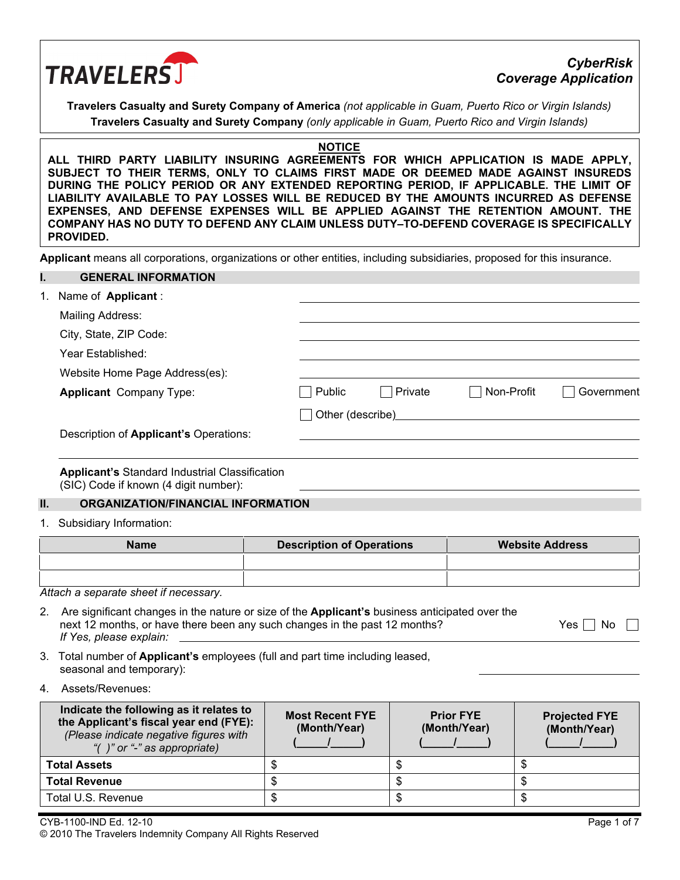

# *CyberRisk Coverage Application*

**Travelers Casualty and Surety Company of America** *(not applicable in Guam, Puerto Rico or Virgin Islands)* **Travelers Casualty and Surety Company** *(only applicable in Guam, Puerto Rico and Virgin Islands)*

#### **NOTICE**

**ALL THIRD PARTY LIABILITY INSURING AGREEMENTS FOR WHICH APPLICATION IS MADE APPLY, SUBJECT TO THEIR TERMS, ONLY TO CLAIMS FIRST MADE OR DEEMED MADE AGAINST INSUREDS DURING THE POLICY PERIOD OR ANY EXTENDED REPORTING PERIOD, IF APPLICABLE. THE LIMIT OF LIABILITY AVAILABLE TO PAY LOSSES WILL BE REDUCED BY THE AMOUNTS INCURRED AS DEFENSE EXPENSES, AND DEFENSE EXPENSES WILL BE APPLIED AGAINST THE RETENTION AMOUNT. THE COMPANY HAS NO DUTY TO DEFEND ANY CLAIM UNLESS DUTY–TO-DEFEND COVERAGE IS SPECIFICALLY PROVIDED.** 

**Applicant** means all corporations, organizations or other entities, including subsidiaries, proposed for this insurance.

# **I. GENERAL INFORMATION**  1. Name of **Applicant** : Mailing Address: City, State, ZIP Code: Year Established: Website Home Page Address(es): **Applicant** Company Type: <br> **Applicant** Company Type: <br> **Applicant** Company Type: <br> **Applicant** Company Type: Other (describe) Description of **Applicant's** Operations: **Applicant's** Standard Industrial Classification (SIC) Code if known (4 digit number):

#### **II. ORGANIZATION/FINANCIAL INFORMATION**

1. Subsidiary Information:

| <b>Name</b> | <b>Description of Operations</b> | <b>Website Address</b> |
|-------------|----------------------------------|------------------------|
|             |                                  |                        |
|             |                                  |                        |

*Attach a separate sheet if necessary.* 

| 2. Are significant changes in the nature or size of the Applicant's business anticipated over the |               |
|---------------------------------------------------------------------------------------------------|---------------|
| next 12 months, or have there been any such changes in the past 12 months?                        | $Yes \Box No$ |
| If Yes, please explain:                                                                           |               |

- 3. Total number of **Applicant's** employees (full and part time including leased, seasonal and temporary):
- 4. Assets/Revenues:

| Indicate the following as it relates to<br>the Applicant's fiscal year end (FYE):<br>(Please indicate negative figures with<br>"( $\prime$ )" or "-" as appropriate) | <b>Most Recent FYE</b><br>(Month/Year) | <b>Prior FYE</b><br>(Month/Year) | <b>Projected FYE</b><br>(Month/Year) |
|----------------------------------------------------------------------------------------------------------------------------------------------------------------------|----------------------------------------|----------------------------------|--------------------------------------|
| <b>Total Assets</b>                                                                                                                                                  |                                        |                                  |                                      |
| <b>Total Revenue</b>                                                                                                                                                 |                                        |                                  |                                      |
| Total U.S. Revenue                                                                                                                                                   |                                        |                                  |                                      |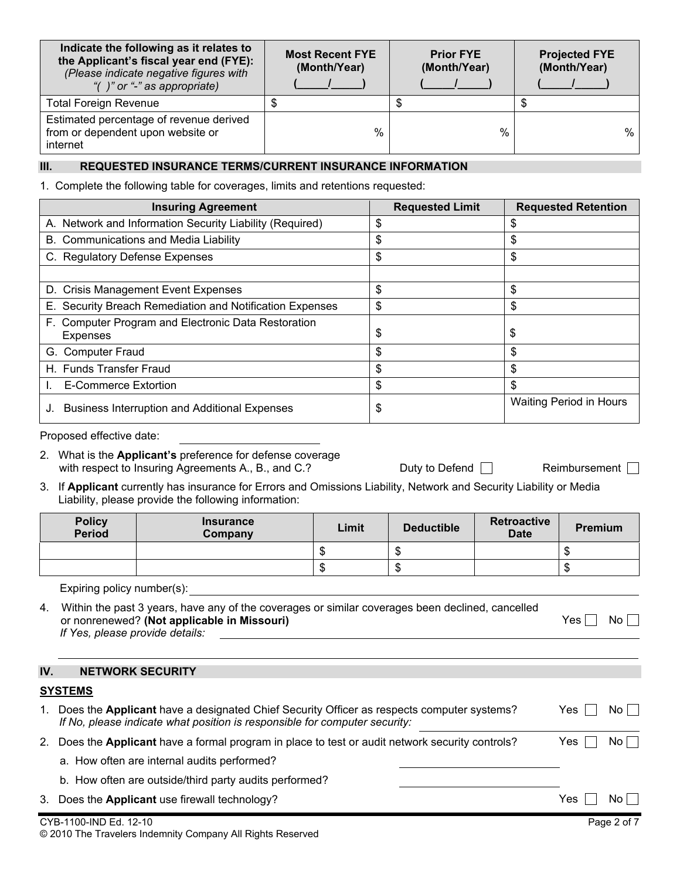| Indicate the following as it relates to<br>the Applicant's fiscal year end (FYE):<br>(Please indicate negative figures with<br>"( $\prime$ )" or "-" as appropriate) | <b>Most Recent FYE</b><br>(Month/Year) | <b>Prior FYE</b><br>(Month/Year) | <b>Projected FYE</b><br>(Month/Year) |  |
|----------------------------------------------------------------------------------------------------------------------------------------------------------------------|----------------------------------------|----------------------------------|--------------------------------------|--|
| <b>Total Foreign Revenue</b>                                                                                                                                         |                                        | D                                |                                      |  |
| Estimated percentage of revenue derived<br>from or dependent upon website or<br>internet                                                                             | %                                      | $\%$                             | %                                    |  |

# **III. REQUESTED INSURANCE TERMS/CURRENT INSURANCE INFORMATION**

1. Complete the following table for coverages, limits and retentions requested:

| <b>Insuring Agreement</b>                                              | <b>Requested Limit</b> | <b>Requested Retention</b>     |
|------------------------------------------------------------------------|------------------------|--------------------------------|
| A. Network and Information Security Liability (Required)               | \$                     | \$                             |
| B. Communications and Media Liability                                  | \$                     | \$                             |
| C. Regulatory Defense Expenses                                         | \$                     | \$                             |
|                                                                        |                        |                                |
| D. Crisis Management Event Expenses                                    | \$                     | \$                             |
| E. Security Breach Remediation and Notification Expenses               | \$                     | \$                             |
| F. Computer Program and Electronic Data Restoration<br><b>Expenses</b> | \$                     | \$                             |
| G. Computer Fraud                                                      | \$                     | \$                             |
| H. Funds Transfer Fraud                                                | \$                     | \$                             |
| <b>E-Commerce Extortion</b>                                            | \$                     | \$                             |
| <b>Business Interruption and Additional Expenses</b>                   | \$                     | <b>Waiting Period in Hours</b> |

#### Proposed effective date:

- 2. What is the **Applicant's** preference for defense coverage with respect to Insuring Agreements A., B., and C.? Duty to Defend Reimbursement Reimbursement
	-
- 
- 3. If **Applicant** currently has insurance for Errors and Omissions Liability, Network and Security Liability or Media Liability, please provide the following information:

| <b>Policy</b><br><b>Period</b> | <b>Insurance</b><br>Company | Limit | <b>Deductible</b> | <b>Retroactive</b><br><b>Date</b> | <b>Premium</b> |
|--------------------------------|-----------------------------|-------|-------------------|-----------------------------------|----------------|
|                                |                             |       |                   |                                   | -11            |
|                                |                             |       | - 11              |                                   | -11            |

Expiring policy number(s):

| 4. Within the past 3 years, have any of the coverages or similar coverages been declined, cancelled |             |
|-----------------------------------------------------------------------------------------------------|-------------|
| or nonrenewed? (Not applicable in Missouri)                                                         | No i<br>Yes |
| If Yes, please provide details:                                                                     |             |

| IV. | <b>NETWORK SECURITY</b>                                                                                                                                                 |             |
|-----|-------------------------------------------------------------------------------------------------------------------------------------------------------------------------|-------------|
|     | <b>SYSTEMS</b>                                                                                                                                                          |             |
| 1.  | Does the Applicant have a designated Chief Security Officer as respects computer systems?<br>If No, please indicate what position is responsible for computer security: | Yes<br>No L |
| 2.  | Does the Applicant have a formal program in place to test or audit network security controls?                                                                           | Yes<br>No L |
|     | a. How often are internal audits performed?                                                                                                                             |             |
|     | b. How often are outside/third party audits performed?                                                                                                                  |             |
| 3.  | Does the Applicant use firewall technology?                                                                                                                             | Yes<br>No l |
|     | CYB-1100-IND Ed. 12-10                                                                                                                                                  | Page 2 of 7 |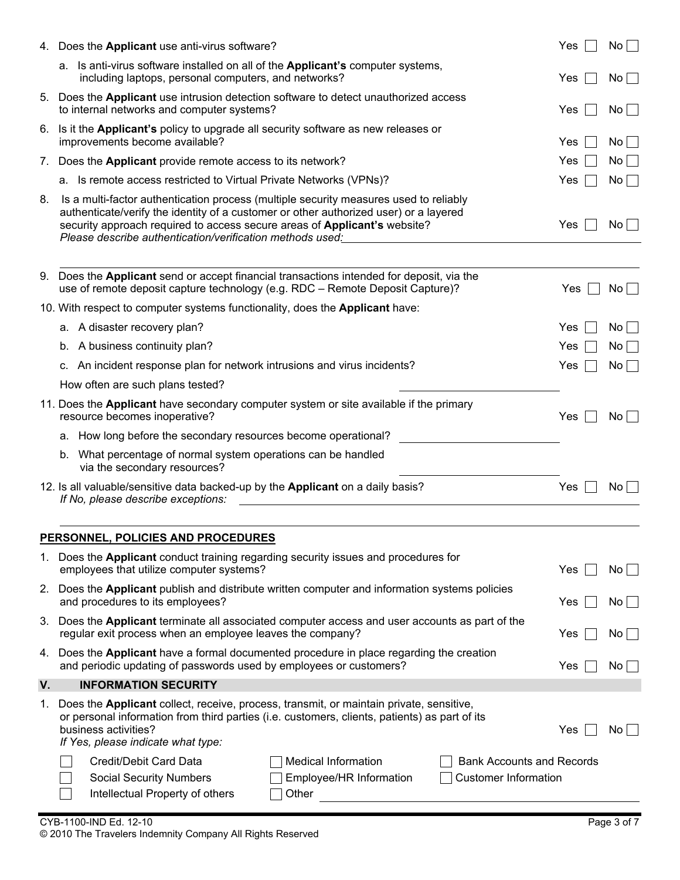|    | 4. Does the Applicant use anti-virus software?                                                                                                                                                                                                                                                                           | <b>Yes</b> | No              |
|----|--------------------------------------------------------------------------------------------------------------------------------------------------------------------------------------------------------------------------------------------------------------------------------------------------------------------------|------------|-----------------|
|    | a. Is anti-virus software installed on all of the Applicant's computer systems,<br>including laptops, personal computers, and networks?                                                                                                                                                                                  | Yes        | No L            |
|    | 5. Does the Applicant use intrusion detection software to detect unauthorized access<br>to internal networks and computer systems?                                                                                                                                                                                       | Yes        | No              |
|    | 6. Is it the Applicant's policy to upgrade all security software as new releases or<br>improvements become available?                                                                                                                                                                                                    | Yes        | No <sub>1</sub> |
| 7. | Does the Applicant provide remote access to its network?                                                                                                                                                                                                                                                                 | <b>Yes</b> | No              |
|    | a. Is remote access restricted to Virtual Private Networks (VPNs)?                                                                                                                                                                                                                                                       | Yes        | No              |
| 8. | Is a multi-factor authentication process (multiple security measures used to reliably<br>authenticate/verify the identity of a customer or other authorized user) or a layered<br>security approach required to access secure areas of Applicant's website?<br>Please describe authentication/verification methods used: | Yes        | No <sub>1</sub> |
|    | 9. Does the Applicant send or accept financial transactions intended for deposit, via the<br>use of remote deposit capture technology (e.g. RDC - Remote Deposit Capture)?                                                                                                                                               | Yes        | No              |
|    | 10. With respect to computer systems functionality, does the Applicant have:                                                                                                                                                                                                                                             |            |                 |
|    | a. A disaster recovery plan?                                                                                                                                                                                                                                                                                             | <b>Yes</b> | No              |
|    | b. A business continuity plan?                                                                                                                                                                                                                                                                                           | Yes        | No <sub>1</sub> |
|    | c. An incident response plan for network intrusions and virus incidents?                                                                                                                                                                                                                                                 | <b>Yes</b> | No <sub>1</sub> |
|    | How often are such plans tested?                                                                                                                                                                                                                                                                                         |            |                 |
|    | 11. Does the Applicant have secondary computer system or site available if the primary<br>resource becomes inoperative?                                                                                                                                                                                                  | <b>Yes</b> | No              |
|    | a. How long before the secondary resources become operational?                                                                                                                                                                                                                                                           |            |                 |
|    | b. What percentage of normal system operations can be handled<br>via the secondary resources?                                                                                                                                                                                                                            |            |                 |
|    | 12. Is all valuable/sensitive data backed-up by the Applicant on a daily basis?<br>If No, please describe exceptions:                                                                                                                                                                                                    | Yes        | No              |
|    | PERSONNEL, POLICIES AND PROCEDURES                                                                                                                                                                                                                                                                                       |            |                 |
|    | 1. Does the Applicant conduct training regarding security issues and procedures for<br>employees that utilize computer systems?                                                                                                                                                                                          | Yes        | $No$            |
|    | 2. Does the Applicant publish and distribute written computer and information systems policies<br>and procedures to its employees?                                                                                                                                                                                       | Yes        | No              |
| 3. | Does the Applicant terminate all associated computer access and user accounts as part of the<br>regular exit process when an employee leaves the company?                                                                                                                                                                | Yes        | No              |
|    | 4. Does the Applicant have a formal documented procedure in place regarding the creation<br>and periodic updating of passwords used by employees or customers?                                                                                                                                                           | Yes        | No <sub>1</sub> |
| V. | <b>INFORMATION SECURITY</b>                                                                                                                                                                                                                                                                                              |            |                 |
| 1. | Does the Applicant collect, receive, process, transmit, or maintain private, sensitive,<br>or personal information from third parties (i.e. customers, clients, patients) as part of its<br>business activities?<br>If Yes, please indicate what type:                                                                   | Yes        | No              |
|    | Credit/Debit Card Data<br><b>Medical Information</b><br><b>Bank Accounts and Records</b>                                                                                                                                                                                                                                 |            |                 |
|    | <b>Customer Information</b><br><b>Social Security Numbers</b><br>Employee/HR Information<br>Intellectual Property of others<br>Other                                                                                                                                                                                     |            |                 |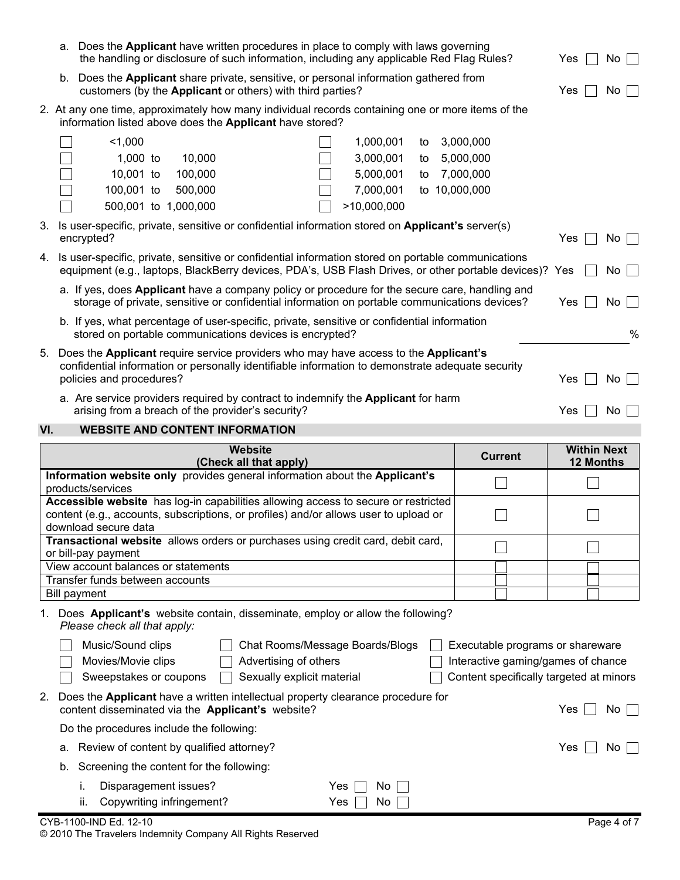|     | a. Does the Applicant have written procedures in place to comply with laws governing<br>the handling or disclosure of such information, including any applicable Red Flag Rules?                                    | Yes<br>No.        |  |
|-----|---------------------------------------------------------------------------------------------------------------------------------------------------------------------------------------------------------------------|-------------------|--|
|     | b. Does the Applicant share private, sensitive, or personal information gathered from<br>customers (by the Applicant or others) with third parties?                                                                 | Yes<br>No.        |  |
|     | 2. At any one time, approximately how many individual records containing one or more items of the<br>information listed above does the Applicant have stored?                                                       |                   |  |
|     | 1,000<br>3,000,000<br>1,000,001<br>to                                                                                                                                                                               |                   |  |
|     | $1,000$ to<br>3,000,001<br>5,000,000<br>10,000<br>to                                                                                                                                                                |                   |  |
|     | 10,001 to<br>5,000,001<br>7,000,000<br>100,000<br>to                                                                                                                                                                |                   |  |
|     | to 10,000,000<br>100,001 to<br>500,000<br>7,000,001                                                                                                                                                                 |                   |  |
|     | 500,001 to 1,000,000<br>>10,000,000                                                                                                                                                                                 |                   |  |
| 3.  | Is user-specific, private, sensitive or confidential information stored on Applicant's server(s)<br>encrypted?                                                                                                      | Yes<br>No.        |  |
| 4.  | Is user-specific, private, sensitive or confidential information stored on portable communications<br>equipment (e.g., laptops, BlackBerry devices, PDA's, USB Flash Drives, or other portable devices)? Yes        | No                |  |
|     | a. If yes, does Applicant have a company policy or procedure for the secure care, handling and<br>storage of private, sensitive or confidential information on portable communications devices?                     | Yes<br>No         |  |
|     | b. If yes, what percentage of user-specific, private, sensitive or confidential information<br>stored on portable communications devices is encrypted?                                                              | $\%$              |  |
| 5.  | Does the Applicant require service providers who may have access to the Applicant's<br>confidential information or personally identifiable information to demonstrate adequate security<br>policies and procedures? | No.<br><b>Yes</b> |  |
|     | a. Are service providers required by contract to indemnify the Applicant for harm<br>arising from a breach of the provider's security?                                                                              | Yes<br>No.        |  |
| VI. | <b>WEBSITE AND CONTENT INFORMATION</b>                                                                                                                                                                              |                   |  |

| Website<br>(Check all that apply)                                                                                                                                                                  | <b>Current</b> | <b>Within Next</b><br><b>12 Months</b> |
|----------------------------------------------------------------------------------------------------------------------------------------------------------------------------------------------------|----------------|----------------------------------------|
| Information website only provides general information about the Applicant's<br>products/services                                                                                                   |                |                                        |
| Accessible website has log-in capabilities allowing access to secure or restricted<br>content (e.g., accounts, subscriptions, or profiles) and/or allows user to upload or<br>download secure data |                |                                        |
| Transactional website allows orders or purchases using credit card, debit card,<br>or bill-pay payment                                                                                             |                |                                        |
| View account balances or statements                                                                                                                                                                |                |                                        |

# Bill payment 1. Does **Applicant's** website contain, disseminate, employ or allow the following? *Please check all that apply:*

|                                          | Music/Sound clips                                                                                                                       |                            | Chat Rooms/Message Boards/Blogs |  | Executable programs or shareware        |     |      |
|------------------------------------------|-----------------------------------------------------------------------------------------------------------------------------------------|----------------------------|---------------------------------|--|-----------------------------------------|-----|------|
|                                          | Movies/Movie clips                                                                                                                      | Advertising of others      |                                 |  | Interactive gaming/games of chance      |     |      |
|                                          | Sweepstakes or coupons                                                                                                                  | Sexually explicit material |                                 |  | Content specifically targeted at minors |     |      |
|                                          | 2. Does the Applicant have a written intellectual property clearance procedure for<br>content disseminated via the Applicant's website? |                            |                                 |  |                                         | Yes | No l |
| Do the procedures include the following: |                                                                                                                                         |                            |                                 |  |                                         |     |      |
|                                          | a. Review of content by qualified attorney?                                                                                             |                            |                                 |  |                                         | Yes | No l |
| b.                                       | Screening the content for the following:                                                                                                |                            |                                 |  |                                         |     |      |
|                                          | Disparagement issues?                                                                                                                   |                            | Yes.<br>No l                    |  |                                         |     |      |
|                                          | Copywriting infringement?<br>н.                                                                                                         |                            | Yes<br>No.                      |  |                                         |     |      |

Transfer funds between accounts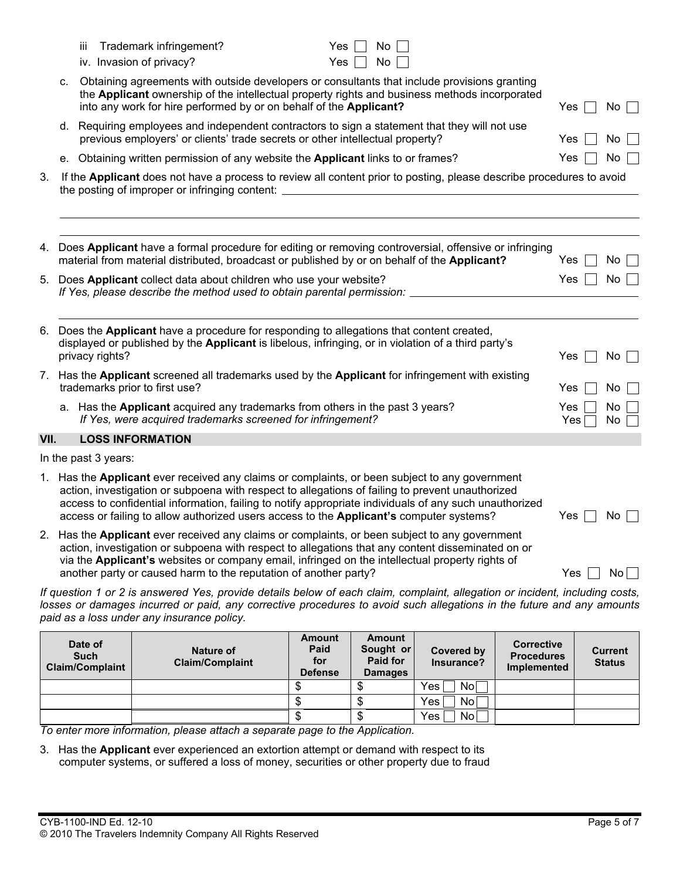|      |    | Date of |                                                     |  |  | <b>Amount</b>                                                                                                                                                                                                                                                                                                                                                           |            | Amount   |  | <b>Corrective</b>                                                                                                                                                                                                                                     |            |          |      |
|------|----|---------|-----------------------------------------------------|--|--|-------------------------------------------------------------------------------------------------------------------------------------------------------------------------------------------------------------------------------------------------------------------------------------------------------------------------------------------------------------------------|------------|----------|--|-------------------------------------------------------------------------------------------------------------------------------------------------------------------------------------------------------------------------------------------------------|------------|----------|------|
|      |    |         | paid as a loss under any insurance policy.          |  |  |                                                                                                                                                                                                                                                                                                                                                                         |            |          |  | If question 1 or 2 is answered Yes, provide details below of each claim, complaint, allegation or incident, including costs,<br>losses or damages incurred or paid, any corrective procedures to avoid such allegations in the future and any amounts |            |          |      |
|      |    |         |                                                     |  |  | Has the Applicant ever received any claims or complaints, or been subject to any government<br>action, investigation or subpoena with respect to allegations that any content disseminated on or<br>via the Applicant's websites or company email, infringed on the intellectual property rights of<br>another party or caused harm to the reputation of another party? |            |          |  |                                                                                                                                                                                                                                                       | $Yes$      |          | $No$ |
|      |    |         |                                                     |  |  | 1. Has the Applicant ever received any claims or complaints, or been subject to any government<br>action, investigation or subpoena with respect to allegations of failing to prevent unauthorized<br>access or failing to allow authorized users access to the Applicant's computer systems?                                                                           |            |          |  | access to confidential information, failing to notify appropriate individuals of any such unauthorized                                                                                                                                                | Yes        | No.      |      |
|      |    |         | In the past 3 years:                                |  |  |                                                                                                                                                                                                                                                                                                                                                                         |            |          |  |                                                                                                                                                                                                                                                       |            |          |      |
| VII. |    |         | <b>LOSS INFORMATION</b>                             |  |  |                                                                                                                                                                                                                                                                                                                                                                         |            |          |  |                                                                                                                                                                                                                                                       |            |          |      |
|      |    |         |                                                     |  |  | a. Has the Applicant acquired any trademarks from others in the past 3 years?<br>If Yes, were acquired trademarks screened for infringement?                                                                                                                                                                                                                            |            |          |  |                                                                                                                                                                                                                                                       | Yes<br>Yes | No<br>No |      |
|      |    |         | trademarks prior to first use?                      |  |  | 7. Has the Applicant screened all trademarks used by the Applicant for infringement with existing                                                                                                                                                                                                                                                                       |            |          |  |                                                                                                                                                                                                                                                       | Yes        | No       |      |
|      |    |         | privacy rights?                                     |  |  | 6. Does the Applicant have a procedure for responding to allegations that content created,<br>displayed or published by the Applicant is libelous, infringing, or in violation of a third party's                                                                                                                                                                       |            |          |  |                                                                                                                                                                                                                                                       | Yes        |          | No   |
|      |    |         |                                                     |  |  | 5. Does Applicant collect data about children who use your website?<br>If Yes, please describe the method used to obtain parental permission:                                                                                                                                                                                                                           |            |          |  |                                                                                                                                                                                                                                                       | Yes        |          | No   |
| 4.   |    |         |                                                     |  |  | material from material distributed, broadcast or published by or on behalf of the Applicant?                                                                                                                                                                                                                                                                            |            |          |  | Does Applicant have a formal procedure for editing or removing controversial, offensive or infringing                                                                                                                                                 | Yes        | No       |      |
| 3.   |    |         | the posting of improper or infringing content:      |  |  |                                                                                                                                                                                                                                                                                                                                                                         |            |          |  | If the Applicant does not have a process to review all content prior to posting, please describe procedures to avoid                                                                                                                                  |            |          |      |
|      |    |         |                                                     |  |  | e. Obtaining written permission of any website the Applicant links to or frames?                                                                                                                                                                                                                                                                                        |            |          |  |                                                                                                                                                                                                                                                       | Yes        | No       |      |
|      |    |         |                                                     |  |  | d. Requiring employees and independent contractors to sign a statement that they will not use<br>previous employers' or clients' trade secrets or other intellectual property?                                                                                                                                                                                          |            |          |  |                                                                                                                                                                                                                                                       | <b>Yes</b> | No       |      |
|      | c. |         |                                                     |  |  | Obtaining agreements with outside developers or consultants that include provisions granting<br>into any work for hire performed by or on behalf of the Applicant?                                                                                                                                                                                                      |            |          |  | the Applicant ownership of the intellectual property rights and business methods incorporated                                                                                                                                                         | Yes        |          | No I |
|      |    | Ш       | Trademark infringement?<br>iv. Invasion of privacy? |  |  |                                                                                                                                                                                                                                                                                                                                                                         | Yes<br>Yes | No<br>No |  |                                                                                                                                                                                                                                                       |            |          |      |

| Date of<br><b>Such</b><br><b>Claim/Complaint</b> | Nature of<br><b>Claim/Complaint</b> | Amount<br>Paid<br>for<br><b>Defense</b> | Amount<br>Sought or<br>Paid for<br><b>Damages</b> | <b>Covered by</b><br>Insurance? | <b>Corrective</b><br><b>Procedures</b><br><b>Implemented</b> | <b>Current</b><br><b>Status</b> |
|--------------------------------------------------|-------------------------------------|-----------------------------------------|---------------------------------------------------|---------------------------------|--------------------------------------------------------------|---------------------------------|
|                                                  |                                     |                                         |                                                   | Yes<br>No                       |                                                              |                                 |
|                                                  |                                     |                                         | D                                                 | No<br>Yes                       |                                                              |                                 |
|                                                  |                                     | ۰D                                      | ง                                                 | <b>No</b><br>Yes                |                                                              |                                 |

*To enter more information, please attach a separate page to the Application.* 

3. Has the **Applicant** ever experienced an extortion attempt or demand with respect to its computer systems, or suffered a loss of money, securities or other property due to fraud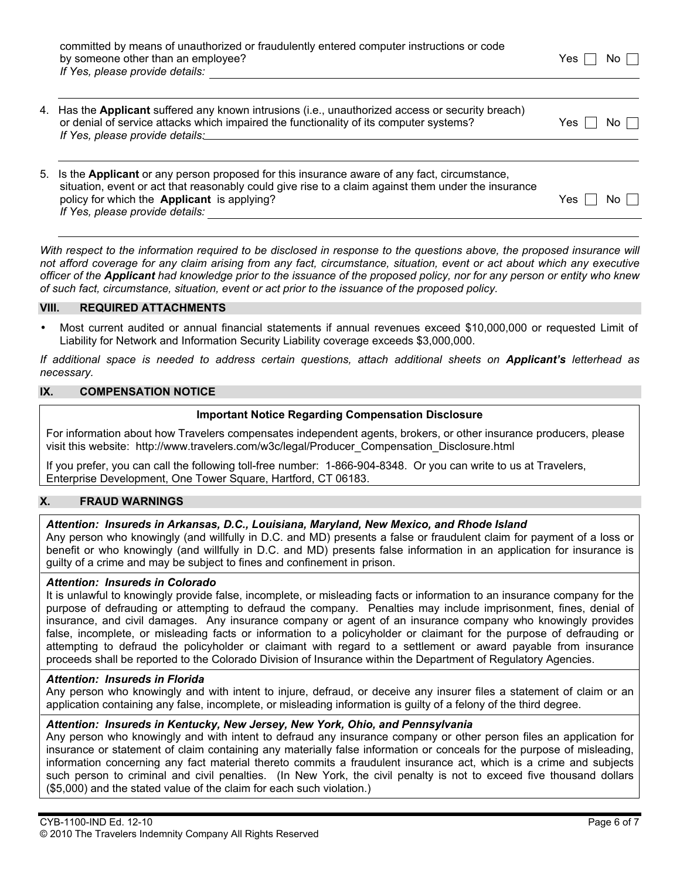| committed by means of unauthorized or fraudulently entered computer instructions or code |               |
|------------------------------------------------------------------------------------------|---------------|
| by someone other than an employee?                                                       | Yes $\Box$ No |
| If Yes, please provide details:                                                          |               |

| 4. Has the Applicant suffered any known intrusions (i.e., unauthorized access or security breach) |                      |
|---------------------------------------------------------------------------------------------------|----------------------|
| or denial of service attacks which impaired the functionality of its computer systems?            | Yes $\Box$ No $\Box$ |
| If Yes, please provide details:                                                                   |                      |

| 5. Is the Applicant or any person proposed for this insurance aware of any fact, circumstance,      |                            |
|-----------------------------------------------------------------------------------------------------|----------------------------|
| situation, event or act that reasonably could give rise to a claim against them under the insurance |                            |
| policy for which the <b>Applicant</b> is applying?                                                  | $No \ \Box$<br>Yes $\vert$ |
| If Yes, please provide details:                                                                     |                            |

*With respect to the information required to be disclosed in response to the questions above, the proposed insurance will not afford coverage for any claim arising from any fact, circumstance, situation, event or act about which any executive officer of the Applicant had knowledge prior to the issuance of the proposed policy, nor for any person or entity who knew of such fact, circumstance, situation, event or act prior to the issuance of the proposed policy.* 

#### **VIII. REQUIRED ATTACHMENTS**

• Most current audited or annual financial statements if annual revenues exceed \$10,000,000 or requested Limit of Liability for Network and Information Security Liability coverage exceeds \$3,000,000.

*If additional space is needed to address certain questions, attach additional sheets on Applicant's letterhead as necessary.* 

#### **IX. COMPENSATION NOTICE**

#### **Important Notice Regarding Compensation Disclosure**

For information about how Travelers compensates independent agents, brokers, or other insurance producers, please visit this website: http://www.travelers.com/w3c/legal/Producer\_Compensation\_Disclosure.html

If you prefer, you can call the following toll-free number: 1-866-904-8348. Or you can write to us at Travelers, Enterprise Development, One Tower Square, Hartford, CT 06183.

### **X. FRAUD WARNINGS**

### *Attention: Insureds in Arkansas, D.C., Louisiana, Maryland, New Mexico, and Rhode Island*

Any person who knowingly (and willfully in D.C. and MD) presents a false or fraudulent claim for payment of a loss or benefit or who knowingly (and willfully in D.C. and MD) presents false information in an application for insurance is guilty of a crime and may be subject to fines and confinement in prison.

#### *Attention: Insureds in Colorado*

It is unlawful to knowingly provide false, incomplete, or misleading facts or information to an insurance company for the purpose of defrauding or attempting to defraud the company. Penalties may include imprisonment, fines, denial of insurance, and civil damages. Any insurance company or agent of an insurance company who knowingly provides false, incomplete, or misleading facts or information to a policyholder or claimant for the purpose of defrauding or attempting to defraud the policyholder or claimant with regard to a settlement or award payable from insurance proceeds shall be reported to the Colorado Division of Insurance within the Department of Regulatory Agencies.

#### *Attention: Insureds in Florida*

Any person who knowingly and with intent to injure, defraud, or deceive any insurer files a statement of claim or an application containing any false, incomplete, or misleading information is guilty of a felony of the third degree.

#### *Attention: Insureds in Kentucky, New Jersey, New York, Ohio, and Pennsylvania*

Any person who knowingly and with intent to defraud any insurance company or other person files an application for insurance or statement of claim containing any materially false information or conceals for the purpose of misleading, information concerning any fact material thereto commits a fraudulent insurance act, which is a crime and subjects such person to criminal and civil penalties. (In New York, the civil penalty is not to exceed five thousand dollars (\$5,000) and the stated value of the claim for each such violation.)